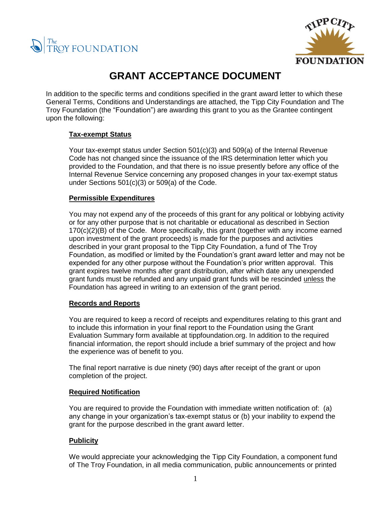



# **GRANT ACCEPTANCE DOCUMENT**

In addition to the specific terms and conditions specified in the grant award letter to which these General Terms, Conditions and Understandings are attached, the Tipp City Foundation and The Troy Foundation (the "Foundation") are awarding this grant to you as the Grantee contingent upon the following:

## **Tax-exempt Status**

Your tax-exempt status under Section 501(c)(3) and 509(a) of the Internal Revenue Code has not changed since the issuance of the IRS determination letter which you provided to the Foundation, and that there is no issue presently before any office of the Internal Revenue Service concerning any proposed changes in your tax-exempt status under Sections 501(c)(3) or 509(a) of the Code.

## **Permissible Expenditures**

You may not expend any of the proceeds of this grant for any political or lobbying activity or for any other purpose that is not charitable or educational as described in Section 170(c)(2)(B) of the Code. More specifically, this grant (together with any income earned upon investment of the grant proceeds) is made for the purposes and activities described in your grant proposal to the Tipp City Foundation, a fund of The Troy Foundation, as modified or limited by the Foundation's grant award letter and may not be expended for any other purpose without the Foundation's prior written approval. This grant expires twelve months after grant distribution, after which date any unexpended grant funds must be refunded and any unpaid grant funds will be rescinded unless the Foundation has agreed in writing to an extension of the grant period.

#### **Records and Reports**

You are required to keep a record of receipts and expenditures relating to this grant and to include this information in your final report to the Foundation using the Grant Evaluation Summary form available at tippfoundation.org. In addition to the required financial information, the report should include a brief summary of the project and how the experience was of benefit to you.

The final report narrative is due ninety (90) days after receipt of the grant or upon completion of the project.

## **Required Notification**

You are required to provide the Foundation with immediate written notification of: (a) any change in your organization's tax-exempt status or (b) your inability to expend the grant for the purpose described in the grant award letter.

## **Publicity**

We would appreciate your acknowledging the Tipp City Foundation, a component fund of The Troy Foundation, in all media communication, public announcements or printed